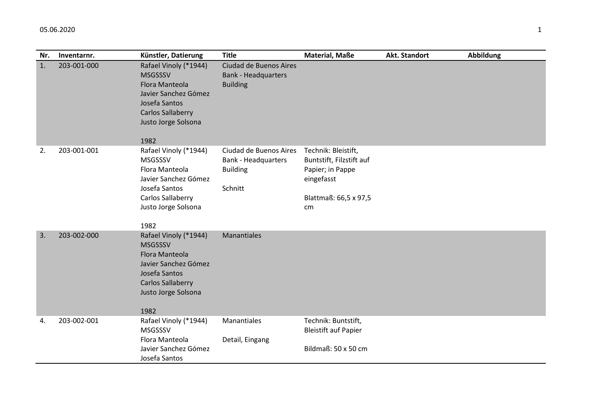| Nr. | Inventarnr. | Künstler, Datierung                                                                                                                                           | <b>Title</b>                                                                       | <b>Material, Maße</b>                                                                                            | Akt. Standort | <b>Abbildung</b> |
|-----|-------------|---------------------------------------------------------------------------------------------------------------------------------------------------------------|------------------------------------------------------------------------------------|------------------------------------------------------------------------------------------------------------------|---------------|------------------|
| 1.  | 203-001-000 | Rafael Vinoly (*1944)<br><b>MSGSSSV</b><br>Flora Manteola<br>Javier Sanchez Gómez<br>Josefa Santos<br><b>Carlos Sallaberry</b><br>Justo Jorge Solsona<br>1982 | Ciudad de Buenos Aires<br><b>Bank - Headquarters</b><br><b>Building</b>            |                                                                                                                  |               |                  |
| 2.  | 203-001-001 | Rafael Vinoly (*1944)<br><b>MSGSSSV</b><br>Flora Manteola<br>Javier Sanchez Gómez<br>Josefa Santos<br><b>Carlos Sallaberry</b><br>Justo Jorge Solsona<br>1982 | Ciudad de Buenos Aires<br><b>Bank - Headquarters</b><br><b>Building</b><br>Schnitt | Technik: Bleistift,<br>Buntstift, Filzstift auf<br>Papier; in Pappe<br>eingefasst<br>Blattmaß: 66,5 x 97,5<br>cm |               |                  |
| 3.  | 203-002-000 | Rafael Vinoly (*1944)<br><b>MSGSSSV</b><br>Flora Manteola<br>Javier Sanchez Gómez<br>Josefa Santos<br><b>Carlos Sallaberry</b><br>Justo Jorge Solsona<br>1982 | Manantiales                                                                        |                                                                                                                  |               |                  |
| 4.  | 203-002-001 | Rafael Vinoly (*1944)<br><b>MSGSSSV</b><br>Flora Manteola<br>Javier Sanchez Gómez<br>Josefa Santos                                                            | Manantiales<br>Detail, Eingang                                                     | Technik: Buntstift,<br><b>Bleistift auf Papier</b><br>Bildmaß: 50 x 50 cm                                        |               |                  |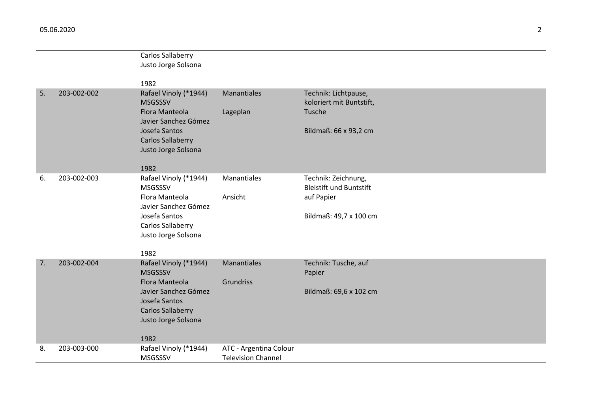|    |             | Carlos Sallaberry<br>Justo Jorge Solsona                                                                                                                      |                                                     |                                                                                               |
|----|-------------|---------------------------------------------------------------------------------------------------------------------------------------------------------------|-----------------------------------------------------|-----------------------------------------------------------------------------------------------|
|    |             | 1982                                                                                                                                                          |                                                     |                                                                                               |
| 5. | 203-002-002 | Rafael Vinoly (*1944)<br><b>MSGSSSV</b><br>Flora Manteola<br>Javier Sanchez Gómez<br>Josefa Santos<br><b>Carlos Sallaberry</b><br>Justo Jorge Solsona<br>1982 | <b>Manantiales</b><br>Lageplan                      | Technik: Lichtpause,<br>koloriert mit Buntstift,<br>Tusche<br>Bildmaß: 66 x 93,2 cm           |
| 6. | 203-002-003 | Rafael Vinoly (*1944)<br><b>MSGSSSV</b><br>Flora Manteola<br>Javier Sanchez Gómez<br>Josefa Santos<br>Carlos Sallaberry<br>Justo Jorge Solsona<br>1982        | Manantiales<br>Ansicht                              | Technik: Zeichnung,<br><b>Bleistift und Buntstift</b><br>auf Papier<br>Bildmaß: 49,7 x 100 cm |
| 7. | 203-002-004 | Rafael Vinoly (*1944)<br><b>MSGSSSV</b><br>Flora Manteola<br>Javier Sanchez Gómez<br>Josefa Santos<br><b>Carlos Sallaberry</b><br>Justo Jorge Solsona<br>1982 | Manantiales<br>Grundriss                            | Technik: Tusche, auf<br>Papier<br>Bildmaß: 69,6 x 102 cm                                      |
| 8. | 203-003-000 | Rafael Vinoly (*1944)<br>MSGSSSV                                                                                                                              | ATC - Argentina Colour<br><b>Television Channel</b> |                                                                                               |